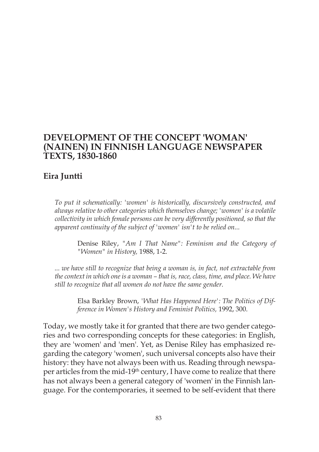# **DEVELOPMENT OF THE CONCEPT 'WOMAN' (NAINEN) IN FINNISH LANGUAGE NEWSPAPER TEXTS, 1830-1860**

# **Eira Juntti**

*To put it schematically: 'women' is historically, discursively constructed, and always relative to other categories which themselves change; 'women' is a volatile collectivity in which female persons can be very differently positioned, so that the apparent continuity of the subject of 'women' isn't to be relied on...*

> Denise Riley, *"Am I That Name": Feminism and the Category of "Women" in History,* 1988, 1-2.

*... we have still to recognize that being a woman is, in fact, not extractable from the context in which one is a woman – that is, race, class, time, and place. We have still to recognize that all women do not have the same gender.*

Elsa Barkley Brown, *'What Has Happened Here': The Politics of Difference in Women's History and Feminist Politics,* 1992, 300.

Today, we mostly take it for granted that there are two gender categories and two corresponding concepts for these categories: in English, they are 'women' and 'men'. Yet, as Denise Riley has emphasized regarding the category 'women', such universal concepts also have their history: they have not always been with us. Reading through newspaper articles from the mid-19<sup>th</sup> century, I have come to realize that there has not always been a general category of 'women' in the Finnish language. For the contemporaries, it seemed to be self-evident that there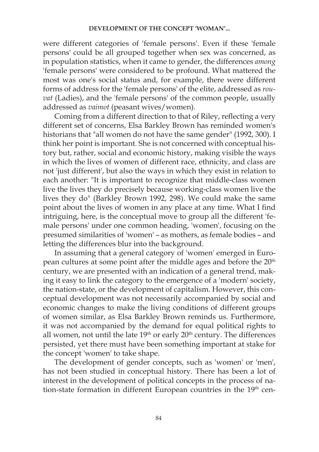were different categories of 'female persons'. Even if these 'female persons' could be all grouped together when sex was concerned, as in population statistics, when it came to gender, the differences *among*  'female persons' were considered to be profound. What mattered the most was one's social status and, for example, there were different forms of address for the 'female persons' of the elite, addressed as *rouvat* (Ladies), and the 'female persons' of the common people, usually addressed as *vaimot* (peasant wives/women).

Coming from a different direction to that of Riley, reflecting a very different set of concerns, Elsa Barkley Brown has reminded women's historians that "all women do not have the same gender" (1992, 300). I think her point is important. She is not concerned with conceptual history but, rather, social and economic history, making visible the ways in which the lives of women of different race, ethnicity, and class are not 'just different', but also the ways in which they exist in relation to each another: "It is important to recognize that middle-class women live the lives they do precisely because working-class women live the lives they do" (Barkley Brown 1992, 298). We could make the same point about the lives of women in any place at any time. What I find intriguing, here, is the conceptual move to group all the different 'female persons' under one common heading, 'women', focusing on the presumed similarities of 'women' – as mothers, as female bodies – and letting the differences blur into the background.

In assuming that a general category of 'women' emerged in European cultures at some point after the middle ages and before the 20<sup>th</sup> century, we are presented with an indication of a general trend, making it easy to link the category to the emergence of a 'modern' society, the nation-state, or the development of capitalism. However, this conceptual development was not necessarily accompanied by social and economic changes to make the living conditions of different groups of women similar, as Elsa Barkley Brown reminds us. Furthermore, it was not accompanied by the demand for equal political rights to all women, not until the late  $19<sup>th</sup>$  or early  $20<sup>th</sup>$  century. The differences persisted, yet there must have been something important at stake for the concept 'women' to take shape.

The development of gender concepts, such as 'women' or 'men', has not been studied in conceptual history. There has been a lot of interest in the development of political concepts in the process of nation-state formation in different European countries in the 19<sup>th</sup> cen-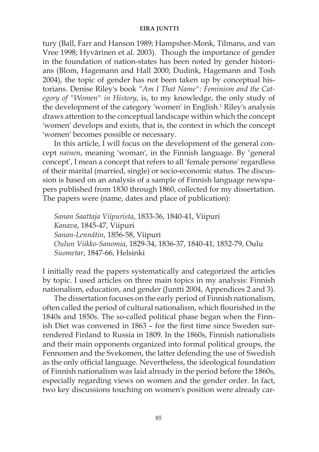tury (Ball, Farr and Hanson 1989; Hampsher-Monk, Tilmans, and van Vree 1998; Hyvärinen et al. 2003). Though the importance of gender in the foundation of nation-states has been noted by gender historians (Blom, Hagemann and Hall 2000; Dudink, Hagemann and Tosh 2004), the topic of gender has not been taken up by conceptual historians. Denise Riley's book *"Am I That Name": Feminism and the Category of "Women" in History*, is, to my knowledge, the only study of the development of the category 'women' in English.1 Riley's analysis draws attention to the conceptual landscape within which the concept 'women' develops and exists, that is, the context in which the concept 'women' becomes possible or necessary.

In this article, I will focus on the development of the general concept *nainen*, meaning 'woman', in the Finnish language. By 'general concept', I mean a concept that refers to all 'female persons' regardless of their marital (married, single) or socio-economic status. The discussion is based on an analysis of a sample of Finnish language newspapers published from 1830 through 1860, collected for my dissertation. The papers were (name, dates and place of publication):

*Sanan Saattaja Viipurista*, 1833-36, 1840-41, Viipuri *Kanava*, 1845-47, Viipuri *Sanan-Lennätin*, 1856-58, Viipuri *Oulun Viikko-Sanomia*, 1829-34, 1836-37, 1840-41, 1852-79, Oulu *Suometar*, 1847-66, Helsinki

I initially read the papers systematically and categorized the articles by topic. I used articles on three main topics in my analysis: Finnish nationalism, education, and gender (Juntti 2004, Appendices 2 and 3).

The dissertation focuses on the early period of Finnish nationalism, often called the period of cultural nationalism, which flourished in the 1840s and 1850s. The so-called political phase began when the Finnish Diet was convened in 1863 – for the first time since Sweden surrendered Finland to Russia in 1809. In the 1860s, Finnish nationalists and their main opponents organized into formal political groups, the Fennomen and the Svekomen, the latter defending the use of Swedish as the only official language. Nevertheless, the ideological foundation of Finnish nationalism was laid already in the period before the 1860s, especially regarding views on women and the gender order. In fact, two key discussions touching on women's position were already car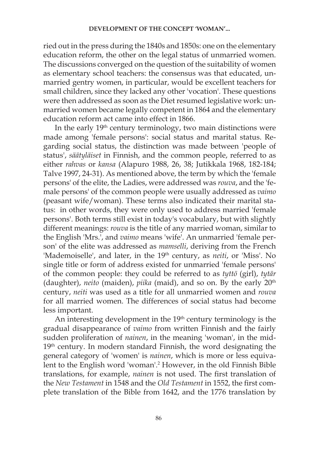ried out in the press during the 1840s and 1850s: one on the elementary education reform, the other on the legal status of unmarried women. The discussions converged on the question of the suitability of women as elementary school teachers: the consensus was that educated, unmarried gentry women, in particular, would be excellent teachers for small children, since they lacked any other 'vocation'. These questions were then addressed as soon as the Diet resumed legislative work: unmarried women became legally competent in 1864 and the elementary education reform act came into effect in 1866.

In the early  $19<sup>th</sup>$  century terminology, two main distinctions were made among 'female persons': social status and marital status. Regarding social status, the distinction was made between 'people of status', *säätyläiset* in Finnish, and the common people, referred to as either *rahvas* or *kansa* (Alapuro 1988, 26, 38; Jutikkala 1968, 182-184; Talve 1997, 24-31). As mentioned above, the term by which the 'female persons' of the elite, the Ladies, were addressed was *rouva*, and the 'female persons' of the common people were usually addressed as *vaimo* (peasant wife/woman). These terms also indicated their marital status: in other words, they were only used to address married 'female persons'. Both terms still exist in today's vocabulary, but with slightly different meanings: *rouva* is the title of any married woman, similar to the English 'Mrs.', and *vaimo* means 'wife'. An unmarried 'female person' of the elite was addressed as *mamselli*, deriving from the French 'Mademoiselle', and later, in the 19<sup>th</sup> century, as *neiti*, or 'Miss'. No single title or form of address existed for unmarried 'female persons' of the common people: they could be referred to as *tyttö* (girl), *tytär* (daughter), *neito* (maiden), *piika* (maid), and so on. By the early 20th century, *neiti* was used as a title for all unmarried women and *rouva* for all married women. The differences of social status had become less important.

An interesting development in the 19<sup>th</sup> century terminology is the gradual disappearance of *vaimo* from written Finnish and the fairly sudden proliferation of *nainen*, in the meaning 'woman', in the mid-19<sup>th</sup> century. In modern standard Finnish, the word designating the general category of 'women' is *nainen*, which is more or less equivalent to the English word 'woman'.2 However, in the old Finnish Bible translations, for example, *nainen* is not used. The first translation of the *New Testament* in 1548 and the *Old Testament* in 1552, the first complete translation of the Bible from 1642, and the 1776 translation by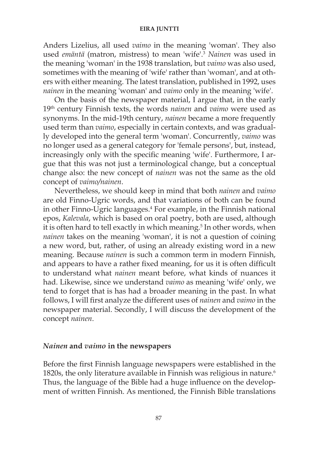Anders Lizelius, all used *vaimo* in the meaning 'woman'. They also used *emäntä* (matron, mistress) to mean 'wife'.3 *Nainen* was used in the meaning 'woman' in the 1938 translation, but *vaimo* was also used, sometimes with the meaning of 'wife' rather than 'woman', and at others with either meaning. The latest translation, published in 1992, uses *nainen* in the meaning 'woman' and *vaimo* only in the meaning 'wife'.

On the basis of the newspaper material, I argue that, in the early 19th century Finnish texts, the words *nainen* and *vaimo* were used as synonyms. In the mid-19th century, *nainen* became a more frequently used term than *vaimo*, especially in certain contexts, and was gradually developed into the general term 'woman'. Concurrently, *vaimo* was no longer used as a general category for 'female persons', but, instead, increasingly only with the specific meaning 'wife'. Furthermore, I argue that this was not just a terminological change, but a conceptual change also: the new concept of *nainen* was not the same as the old concept of *vaimo/nainen*.

Nevertheless, we should keep in mind that both *nainen* and *vaimo*  are old Finno-Ugric words, and that variations of both can be found in other Finno-Ugric languages.4 For example, in the Finnish national epos, *Kalevala*, which is based on oral poetry, both are used, although it is often hard to tell exactly in which meaning.<sup>5</sup> In other words, when *nainen* takes on the meaning 'woman', it is not a question of coining a new word, but, rather, of using an already existing word in a new meaning. Because *nainen* is such a common term in modern Finnish, and appears to have a rather fixed meaning, for us it is often difficult to understand what *nainen* meant before, what kinds of nuances it had. Likewise, since we understand *vaimo* as meaning 'wife' only, we tend to forget that is has had a broader meaning in the past. In what follows, I will first analyze the different uses of *nainen* and *vaimo* in the newspaper material. Secondly, I will discuss the development of the concept *nainen*.

#### *Nainen* **and** *vaimo* **in the newspapers**

Before the first Finnish language newspapers were established in the 1820s, the only literature available in Finnish was religious in nature.<sup>6</sup> Thus, the language of the Bible had a huge influence on the development of written Finnish. As mentioned, the Finnish Bible translations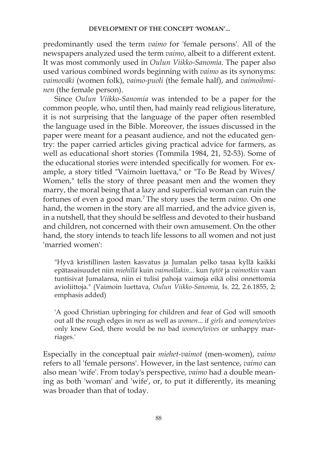predominantly used the term *vaimo* for 'female persons'. All of the newspapers analyzed used the term *vaimo*, albeit to a different extent. It was most commonly used in *Oulun Viikko-Sanomia*. The paper also used various combined words beginning with *vaimo* as its synonyms: *vaimoväki* (women folk), *vaimo-puoli* (the female half), and *vaimoihminen* (the female person).

Since *Oulun Viikko-Sanomia* was intended to be a paper for the common people, who, until then, had mainly read religious literature, it is not surprising that the language of the paper often resembled the language used in the Bible. Moreover, the issues discussed in the paper were meant for a peasant audience, and not the educated gentry: the paper carried articles giving practical advice for farmers, as well as educational short stories (Tommila 1984, 21, 52-53). Some of the educational stories were intended specifically for women. For example, a story titled "Vaimoin luettava," or "To Be Read by Wives/ Women," tells the story of three peasant men and the women they marry, the moral being that a lazy and superficial woman can ruin the fortunes of even a good man.7 The story uses the term *vaimo*. On one hand, the women in the story are all married, and the advice given is, in a nutshell, that they should be selfless and devoted to their husband and children, not concerned with their own amusement. On the other hand, the story intends to teach life lessons to all women and not just 'married women':

"Hyvä kristillinen lasten kasvatus ja Jumalan pelko tasaa kyllä kaikki epätasaisuudet niin *miehillä* kuin *vaimoillakin*... kun *tytöt* ja *vaimotkin* vaan tuntisivat Jumalansa, niin ei tulisi pahoja vaimoja eikä olisi onnettomia avioliittoja." (Vaimoin luettava, *Oulun Viikko-Sanomia*, Is. 22, 2.6.1855, 2; emphasis added)

'A good Christian upbringing for children and fear of God will smooth out all the rough edges in *men* as well as *women*... if *girls* and *women/wives*  only knew God, there would be no bad *women/wives* or unhappy marriages.'

Especially in the conceptual pair *miehet-vaimot* (men-women), *vaimo* refers to all 'female persons'. However, in the last sentence, *vaimo* can also mean 'wife'. From today's perspective, *vaimo* had a double meaning as both 'woman' and 'wife', or, to put it differently, its meaning was broader than that of today.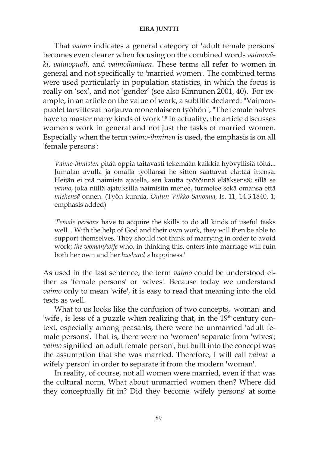That *vaimo* indicates a general category of 'adult female persons' becomes even clearer when focusing on the combined words *vaimoväki*, *vaimopuoli*, and *vaimoihminen*. These terms all refer to women in general and not specifically to 'married women'. The combined terms were used particularly in population statistics, in which the focus is really on 'sex', and not 'gender' (see also Kinnunen 2001, 40). For example, in an article on the value of work, a subtitle declared: "Vaimonpuolet tarvittevat harjauva monenlaiseen työhön", "The female halves have to master many kinds of work".8 In actuality, the article discusses women's work in general and not just the tasks of married women. Especially when the term *vaimo-ihminen* is used, the emphasis is on all 'female persons':

*Vaimo-ihmisten* pitää oppia taitavasti tekemään kaikkia hyövyllisiä töitä... Jumalan avulla ja omalla työllänsä he sitten saattavat elättää ittensä. Heijän ei piä naimista ajatella, sen kautta työtöinnä elääksensä; sillä se *vaimo*, joka niillä ajatuksilla naimisiin menee, turmelee sekä omansa että *miehensä* onnen. (Työn kunnia, *Oulun Viikko-Sanomia*, Is. 11, 14.3.1840, 1; emphasis added)

'*Female persons* have to acquire the skills to do all kinds of useful tasks well... With the help of God and their own work, they will then be able to support themselves. They should not think of marrying in order to avoid work; *the woman/wife* who, in thinking this, enters into marriage will ruin both her own and her *husband's* happiness.'

As used in the last sentence, the term *vaimo* could be understood either as 'female persons' or 'wives'. Because today we understand *vaimo* only to mean 'wife', it is easy to read that meaning into the old texts as well.

What to us looks like the confusion of two concepts, 'woman' and 'wife', is less of a puzzle when realizing that, in the 19<sup>th</sup> century context, especially among peasants, there were no unmarried 'adult female persons'. That is, there were no 'women' separate from 'wives'; *vaimo* signified 'an adult female person', but built into the concept was the assumption that she was married. Therefore, I will call *vaimo* 'a wifely person' in order to separate it from the modern 'woman'.

In reality, of course, not all women were married, even if that was the cultural norm. What about unmarried women then? Where did they conceptually fit in? Did they become 'wifely persons' at some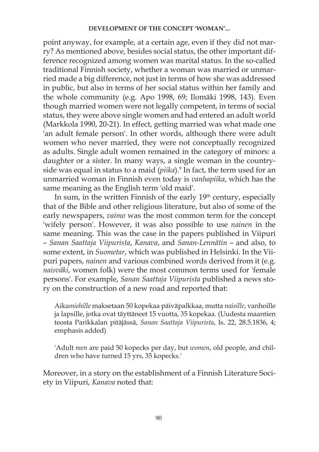point anyway, for example, at a certain age, even if they did not marry? As mentioned above, besides social status, the other important difference recognized among women was marital status. In the so-called traditional Finnish society, whether a woman was married or unmarried made a big difference, not just in terms of how she was addressed in public, but also in terms of her social status within her family and the whole community (e.g. Apo 1998, 69; Ilomäki 1998, 143). Even though married women were not legally competent, in terms of social status, they were above single women and had entered an adult world (Markkola 1990, 20-21). In effect, getting married was what made one 'an adult female person'. In other words, although there were adult women who never married, they were not conceptually recognized as adults. Single adult women remained in the category of minors: a daughter or a sister. In many ways, a single woman in the countryside was equal in status to a maid (*piika*).9 In fact, the term used for an unmarried woman in Finnish even today is *vanhapiika*, which has the same meaning as the English term 'old maid'.

In sum, in the written Finnish of the early 19th century, especially that of the Bible and other religious literature, but also of some of the early newspapers, *vaimo* was the most common term for the concept 'wifely person'. However, it was also possible to use *nainen* in the same meaning. This was the case in the papers published in Viipuri – *Sanan Saattaja Viipurista*, *Kanava*, and *Sanan-Lennätin* – and also, to some extent, in *Suometar*, which was published in Helsinki. In the Viipuri papers, *nainen* and various combined words derived from it (e.g. *naisväki*, women folk) were the most common terms used for 'female persons'. For example, *Sanan Saattaja Viipurista* published a news story on the construction of a new road and reported that:

Aika*miehille* maksetaan 50 kopekaa päiväpalkkaa, mutta *naisille*, vanhoille ja lapsille, jotka ovat täyttäneet 15 vuotta, 35 kopekaa. (Uudesta maantien teosta Parikkalan pitäjässä, *Sanan Saattaja Viipurista*, Is. 22, 28.5.1836, 4; emphasis added)

'Adult *men* are paid 50 kopecks per day, but *women*, old people, and children who have turned 15 yrs, 35 kopecks.'

Moreover, in a story on the establishment of a Finnish Literature Society in Viipuri, *Kanava* noted that: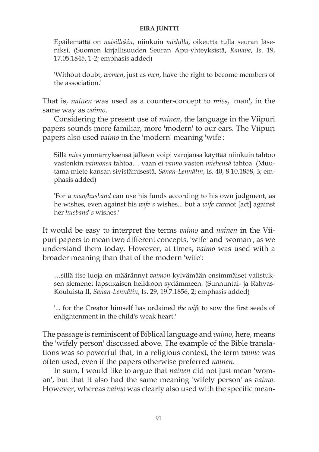Epäilemättä on *naisillakin*, niinkuin *miehillä*, oikeutta tulla seuran Jäseniksi. (Suomen kirjallisuuden Seuran Apu-yhteyksistä, *Kanava*, Is. 19, 17.05.1845, 1-2; emphasis added)

'Without doubt, *women*, just as *men*, have the right to become members of the association.<sup>1</sup>

That is, *nainen* was used as a counter-concept to *mies*, 'man', in the same way as *vaimo*.

Considering the present use of *nainen*, the language in the Viipuri papers sounds more familiar, more 'modern' to our ears. The Viipuri papers also used *vaimo* in the 'modern' meaning 'wife':

Sillä *mies* ymmärryksensä jälkeen voipi varojansa käyttää niinkuin tahtoo vastenkin *vaimonsa* tahtoa… vaan ei *vaimo* vasten *miehensä* tahtoa. (Muutama miete kansan sivistämisestä, *Sanan-Lennätin*, Is. 40, 8.10.1858, 3; emphasis added)

'For a *man/husband* can use his funds according to his own judgment, as he wishes, even against his *wife's* wishes... but a *wife* cannot [act] against her *husband's* wishes.'

It would be easy to interpret the terms *vaimo* and *nainen* in the Viipuri papers to mean two different concepts, 'wife' and 'woman', as we understand them today. However, at times, *vaimo* was used with a broader meaning than that of the modern 'wife':

…sillä itse luoja on määrännyt *vaimon* kylvämään ensimmäiset valistuksen siemenet lapsukaisen heikkoon sydämmeen. (Sunnuntai- ja Rahvas-Kouluista II, *Sanan-Lennätin*, Is. 29, 19.7.1856, 2; emphasis added)

'... for the Creator himself has ordained *the wife* to sow the first seeds of enlightenment in the child's weak heart.'

The passage is reminiscent of Biblical language and *vaimo*, here, means the 'wifely person' discussed above. The example of the Bible translations was so powerful that, in a religious context, the term *vaimo* was often used, even if the papers otherwise preferred *nainen*.

In sum, I would like to argue that *nainen* did not just mean 'woman', but that it also had the same meaning 'wifely person' as *vaimo*. However, whereas *vaimo* was clearly also used with the specific mean-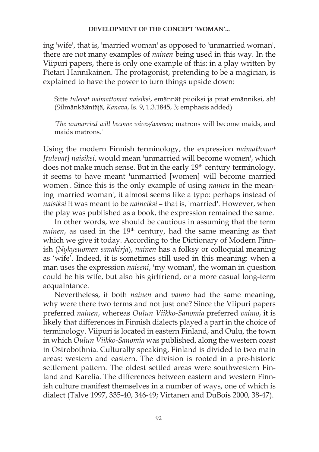ing 'wife', that is, 'married woman' as opposed to 'unmarried woman', there are not many examples of *nainen* being used in this way. In the Viipuri papers, there is only one example of this: in a play written by Pietari Hannikainen. The protagonist, pretending to be a magician, is explained to have the power to turn things upside down:

Sitte *tulevat naimattomat naisiksi*, emännät piioiksi ja piiat emänniksi, ah! (Silmänkääntäjä, *Kanava*, Is. 9, 1.3.1845, 3; emphasis added)

'*The unmarried will become wives/women*; matrons will become maids, and maids matrons.'

Using the modern Finnish terminology, the expression *naimattomat [tulevat] naisiksi*, would mean 'unmarried will become women', which does not make much sense. But in the early 19<sup>th</sup> century terminology, it seems to have meant 'unmarried [women] will become married women'. Since this is the only example of using *nainen* in the meaning 'married woman', it almost seems like a typo: perhaps instead of *naisiksi* it was meant to be *naineiksi* – that is, 'married'. However, when the play was published as a book, the expression remained the same.

In other words, we should be cautious in assuming that the term *nainen*, as used in the 19<sup>th</sup> century, had the same meaning as that which we give it today. According to the Dictionary of Modern Finnish (*Nykysuomen sanakirja*), *nainen* has a folksy or colloquial meaning as 'wife'. Indeed, it is sometimes still used in this meaning: when a man uses the expression *naiseni*, 'my woman', the woman in question could be his wife, but also his girlfriend, or a more casual long-term acquaintance.

Nevertheless, if both *nainen* and *vaimo* had the same meaning, why were there two terms and not just one? Since the Viipuri papers preferred *nainen*, whereas *Oulun Viikko-Sanomia* preferred *vaimo*, it is likely that differences in Finnish dialects played a part in the choice of terminology. Viipuri is located in eastern Finland, and Oulu, the town in which *Oulun Viikko-Sanomia* was published, along the western coast in Ostrobothnia. Culturally speaking, Finland is divided to two main areas: western and eastern. The division is rooted in a pre-historic settlement pattern. The oldest settled areas were southwestern Finland and Karelia. The differences between eastern and western Finnish culture manifest themselves in a number of ways, one of which is dialect (Talve 1997, 335-40, 346-49; Virtanen and DuBois 2000, 38-47).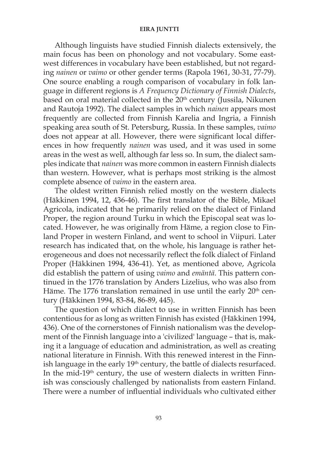Although linguists have studied Finnish dialects extensively, the main focus has been on phonology and not vocabulary. Some eastwest differences in vocabulary have been established, but not regarding *nainen* or *vaimo* or other gender terms (Rapola 1961, 30-31, 77-79). One source enabling a rough comparison of vocabulary in folk language in different regions is *A Frequency Dictionary of Finnish Dialects*, based on oral material collected in the 20<sup>th</sup> century (Jussila, Nikunen and Rautoja 1992). The dialect samples in which *nainen* appears most frequently are collected from Finnish Karelia and Ingria, a Finnish speaking area south of St. Petersburg, Russia. In these samples, *vaimo*  does not appear at all. However, there were significant local differences in how frequently *nainen* was used, and it was used in some areas in the west as well, although far less so. In sum, the dialect samples indicate that *nainen* was more common in eastern Finnish dialects than western. However, what is perhaps most striking is the almost complete absence of *vaimo* in the eastern area.

The oldest written Finnish relied mostly on the western dialects (Häkkinen 1994, 12, 436-46). The first translator of the Bible, Mikael Agricola, indicated that he primarily relied on the dialect of Finland Proper, the region around Turku in which the Episcopal seat was located. However, he was originally from Häme, a region close to Finland Proper in western Finland, and went to school in Viipuri. Later research has indicated that, on the whole, his language is rather heterogeneous and does not necessarily reflect the folk dialect of Finland Proper (Häkkinen 1994, 436-41). Yet, as mentioned above, Agricola did establish the pattern of using *vaimo* and *emäntä*. This pattern continued in the 1776 translation by Anders Lizelius, who was also from Häme. The 1776 translation remained in use until the early 20<sup>th</sup> century (Häkkinen 1994, 83-84, 86-89, 445).

The question of which dialect to use in written Finnish has been contentious for as long as written Finnish has existed (Häkkinen 1994, 436). One of the cornerstones of Finnish nationalism was the development of the Finnish language into a 'civilized' language – that is, making it a language of education and administration, as well as creating national literature in Finnish. With this renewed interest in the Finnish language in the early 19<sup>th</sup> century, the battle of dialects resurfaced. In the mid-19<sup>th</sup> century, the use of western dialects in written Finnish was consciously challenged by nationalists from eastern Finland. There were a number of influential individuals who cultivated either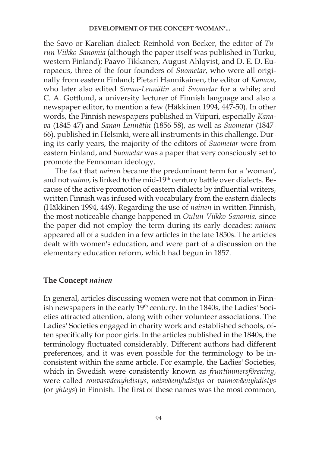the Savo or Karelian dialect: Reinhold von Becker, the editor of *Turun Viikko-Sanomia* (although the paper itself was published in Turku, western Finland); Paavo Tikkanen, August Ahlqvist, and D. E. D. Europaeus, three of the four founders of *Suometar*, who were all originally from eastern Finland; Pietari Hannikainen, the editor of *Kanava*, who later also edited *Sanan-Lennätin* and *Suometar* for a while; and C. A. Gottlund, a university lecturer of Finnish language and also a newspaper editor, to mention a few (Häkkinen 1994, 447-50). In other words, the Finnish newspapers published in Viipuri, especially *Kanava* (1845-47) and *Sanan-Lennätin* (1856-58), as well as *Suometar* (1847- 66), published in Helsinki, were all instruments in this challenge. During its early years, the majority of the editors of *Suometar* were from eastern Finland, and *Suometar* was a paper that very consciously set to promote the Fennoman ideology.

The fact that *nainen* became the predominant term for a 'woman', and not *vaimo*, is linked to the mid-19th century battle over dialects. Because of the active promotion of eastern dialects by influential writers, written Finnish was infused with vocabulary from the eastern dialects (Häkkinen 1994, 449). Regarding the use of *nainen* in written Finnish, the most noticeable change happened in *Oulun Viikko-Sanomia,* since the paper did not employ the term during its early decades: *nainen*  appeared all of a sudden in a few articles in the late 1850s. The articles dealt with women's education, and were part of a discussion on the elementary education reform, which had begun in 1857.

## **The Concept** *nainen*

In general, articles discussing women were not that common in Finnish newspapers in the early 19<sup>th</sup> century. In the 1840s, the Ladies' Societies attracted attention, along with other volunteer associations. The Ladies' Societies engaged in charity work and established schools, often specifically for poor girls. In the articles published in the 1840s, the terminology fluctuated considerably. Different authors had different preferences, and it was even possible for the terminology to be inconsistent within the same article. For example, the Ladies' Societies, which in Swedish were consistently known as *fruntimmersförening*, were called *rouvasväenyhdistys*, *naisväenyhdistys* or *vaimoväenyhdistys* (or *yhteys*) in Finnish. The first of these names was the most common,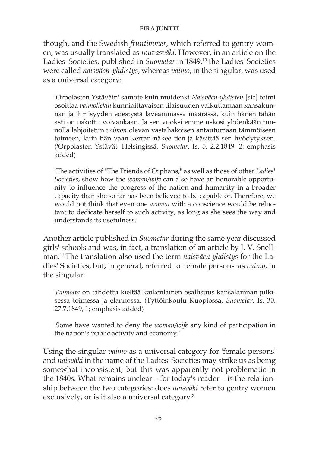though, and the Swedish *fruntimmer*, which referred to gentry women, was usually translated as *rouvasväki*. However, in an article on the Ladies' Societies, published in *Suometar* in 1849,<sup>10</sup> the Ladies' Societies were called *naisväen-yhdistys*, whereas *vaimo*, in the singular, was used as a universal category:

'Orpolasten Ystäväin' samote kuin muidenki *Naisväen-yhdisten* [sic] toimi osoittaa *vaimollekin* kunnioittavaisen tilaisuuden vaikuttamaan kansakunnan ja ihmisyyden edestystä laveammassa määrässä, kuin hänen tähän asti on uskottu voivankaan. Ja sen vuoksi emme uskosi yhdenkään tunnolla lahjoitetun *vaimon* olevan vastahakoisen antautumaan tämmöiseen toimeen, kuin hän vaan kerran näkee tien ja käsittää sen hyödytyksen. ('Orpolasten Ystävät' Helsingissä, *Suometar*, Is. 5, 2.2.1849, 2; emphasis added)

'The activities of "The Friends of Orphans," as well as those of other *Ladies' Societies*, show how the *woman/wife* can also have an honorable opportunity to influence the progress of the nation and humanity in a broader capacity than she so far has been believed to be capable of. Therefore, we would not think that even one *woman* with a conscience would be reluctant to dedicate herself to such activity, as long as she sees the way and understands its usefulness.'

Another article published in *Suometar* during the same year discussed girls' schools and was, in fact, a translation of an article by J. V. Snellman.11 The translation also used the term *naisväen yhdistys* for the Ladies' Societies, but, in general, referred to 'female persons' as *vaimo*, in the singular:

*Vaimolta* on tahdottu kieltää kaikenlainen osallisuus kansakunnan julkisessa toimessa ja elannossa. (Tyttöinkoulu Kuopiossa, *Suometar*, Is. 30, 27.7.1849, 1; emphasis added)

'Some have wanted to deny the *woman/wife* any kind of participation in the nation's public activity and economy.'

Using the singular *vaimo* as a universal category for 'female persons' and *naisväki* in the name of the Ladies' Societies may strike us as being somewhat inconsistent, but this was apparently not problematic in the 1840s. What remains unclear – for today's reader – is the relationship between the two categories: does *naisväki* refer to gentry women exclusively, or is it also a universal category?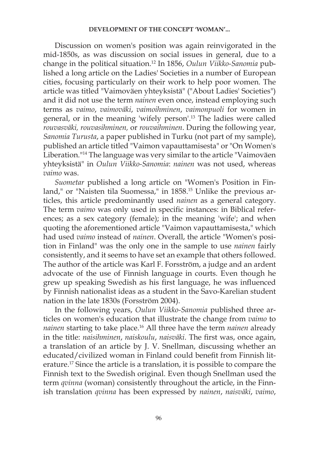Discussion on women's position was again reinvigorated in the mid-1850s, as was discussion on social issues in general, due to a change in the political situation.12 In 1856, *Oulun Viikko-Sanomia* published a long article on the Ladies' Societies in a number of European cities, focusing particularly on their work to help poor women. The article was titled "Vaimoväen yhteyksistä" ("About Ladies' Societies") and it did not use the term *nainen* even once, instead employing such terms as *vaimo*, *vaimoväki*, *vaimoihminen*, *vaimonpuoli* for women in general, or in the meaning 'wifely person'.13 The ladies were called *rouvasväki, rouvasihminen,* or *rouvaihminen*. During the following year, *Sanomia Turusta*, a paper published in Turku (not part of my sample), published an article titled "Vaimon vapauttamisesta" or "On Women's Liberation."14 The language was very similar to the article "Vaimoväen yhteyksistä" in *Oulun Viikko-Sanomia*: *nainen* was not used, whereas *vaimo* was.

*Suometar* published a long article on "Women's Position in Finland," or "Naisten tila Suomessa," in 1858.15 Unlike the previous articles, this article predominantly used *nainen* as a general category. The term *vaimo* was only used in specific instances: in Biblical references; as a sex category (female); in the meaning 'wife'; and when quoting the aforementioned article "Vaimon vapauttamisesta," which had used *vaimo* instead of *nainen*. Overall, the article "Women's position in Finland" was the only one in the sample to use *nainen* fairly consistently, and it seems to have set an example that others followed. The author of the article was Karl F. Forsström, a judge and an ardent advocate of the use of Finnish language in courts. Even though he grew up speaking Swedish as his first language, he was influenced by Finnish nationalist ideas as a student in the Savo-Karelian student nation in the late 1830s (Forsström 2004).

In the following years, *Oulun Viikko-Sanomia* published three articles on women's education that illustrate the change from *vaimo* to *nainen* starting to take place.16 All three have the term *nainen* already in the title: *naisihminen*, *naiskoulu*, *naisväki*. The first was, once again, a translation of an article by J. V. Snellman, discussing whether an educated/civilized woman in Finland could benefit from Finnish literature.17 Since the article is a translation, it is possible to compare the Finnish text to the Swedish original. Even though Snellman used the term *qvinna* (woman) consistently throughout the article, in the Finnish translation *qvinna* has been expressed by *nainen*, *naisväki*, *vaimo*,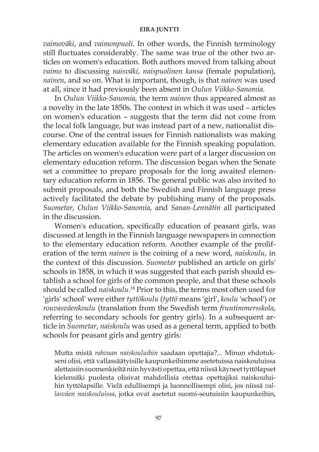*vaimoväki*, and *vaimonpuoli*. In other words, the Finnish terminology still fluctuates considerably. The same was true of the other two articles on women's education. Both authors moved from talking about *vaimo* to discussing *naisväki*, *naispuolinen kansa* (female population), *nainen*, and so on. What is important, though, is that *nainen* was used at all, since it had previously been absent in *Oulun Viikko-Sanomia*.

In *Oulun Viikko-Sanomia,* the term *nainen* thus appeared almost as a novelty in the late 1850s. The context in which it was used – articles on women's education – suggests that the term did not come from the local folk language, but was instead part of a new, nationalist discourse. One of the central issues for Finnish nationalists was making elementary education available for the Finnish speaking population. The articles on women's education were part of a larger discussion on elementary education reform. The discussion began when the Senate set a committee to prepare proposals for the long awaited elementary education reform in 1856. The general public was also invited to submit proposals, and both the Swedish and Finnish language press actively facilitated the debate by publishing many of the proposals. *Suometar, Oulun Viikko-Sanomia*, and *Sanan-Lennätin* all participated in the discussion.

Women's education, specifically education of peasant girls, was discussed at length in the Finnish language newspapers in connection to the elementary education reform. Another example of the proliferation of the term *nainen* is the coining of a new word, *naiskoulu*, in the context of this discussion. *Suometar* published an article on girls' schools in 1858, in which it was suggested that each parish should establish a school for girls of the common people, and that these schools should be called *naiskoulu*. 18 Prior to this, the terms most often used for 'girls' school' were either *tyttökoulu* (*tyttö* means 'girl', *koulu* 'school') or *rouvasväenkoulu* (translation from the Swedish term *fruntimmersskola*, referring to secondary schools for gentry girls). In a subsequent article in *Suometar*, *naiskoulu* was used as a general term, applied to both schools for peasant girls and gentry girls:

Mutta mistä *rahvaan naiskouluihin* saadaan opettajia?... Minun ehdotukseni olisi, että vallassäätyisille kaupunkeihimme asetetuissa naiskouluissa alettaisiin suomenkieltä niin hyvästi opettaa, että niissä käyneet tyttölapset kielensäki puolesta olisivat mahdollisia otettaa opettajiksi naiskouluihin tyttölapsille. Vielä edullisempi ja luonnollisempi olisi, jos niissä *vallasväen naiskouluissa*, jotka ovat asetetut suomi-seutuisiin kaupunkeihin,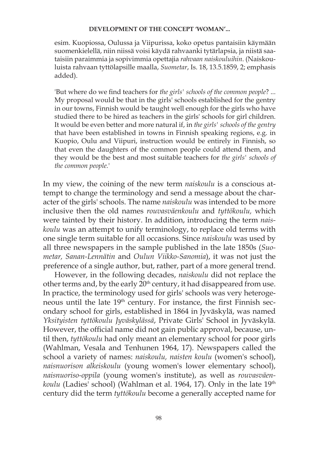esim. Kuopiossa, Oulussa ja Viipurissa, koko opetus pantaisiin käymään suomenkielellä, niin niissä voisi käydä rahvaanki tytärlapsia, ja niistä saataisiin paraimmia ja sopivimmia opettajia *rahvaan naiskouluihin*. (Naiskouluista rahvaan tyttölapsille maalla, *Suometar*, Is. 18, 13.5.1859, 2; emphasis added).

'But where do we find teachers for *the girls' schools of the common people*? ... My proposal would be that in the girls' schools established for the gentry in our towns, Finnish would be taught well enough for the girls who have studied there to be hired as teachers in the girls' schools for girl children. It would be even better and more natural if, in *the girls' schools of the gentry* that have been established in towns in Finnish speaking regions, e.g. in Kuopio, Oulu and Viipuri, instruction would be entirely in Finnish, so that even the daughters of the common people could attend them, and they would be the best and most suitable teachers for *the girls' schools of the common people.*'

In my view, the coining of the new term *naiskoulu* is a conscious attempt to change the terminology and send a message about the character of the girls' schools. The name *naiskoulu* was intended to be more inclusive then the old names *rouvasväenkoulu* and *tyttökoulu,* which were tainted by their history. In addition, introducing the term *naiskoulu* was an attempt to unify terminology, to replace old terms with one single term suitable for all occasions. Since *naiskoulu* was used by all three newspapers in the sample published in the late 1850s (*Suometar, Sanan-Lennätin* and *Oulun Viikko-Sanomia*), it was not just the preference of a single author, but, rather, part of a more general trend.

However, in the following decades, *naiskoulu* did not replace the other terms and, by the early  $20<sup>th</sup>$  century, it had disappeared from use. In practice, the terminology used for girls' schools was very heterogeneous until the late 19th century. For instance, the first Finnish secondary school for girls, established in 1864 in Jyväskylä, was named *Yksityisten tyttökoulu Jyväskylässä*, Private Girls' School in Jyväskylä. However, the official name did not gain public approval, because, until then, *tyttökoulu* had only meant an elementary school for poor girls (Wahlman, Vesala and Tenhunen 1964, 17). Newspapers called the school a variety of names: *naiskoulu, naisten koulu* (women's school), *naisnuorison alkeiskoulu* (young women's lower elementary school), *naisnuoriso-oppila* (young women's institute), as well as *rouvasväenkoulu* (Ladies' school) (Wahlman et al. 1964, 17). Only in the late 19<sup>th</sup> century did the term *tyttökoulu* become a generally accepted name for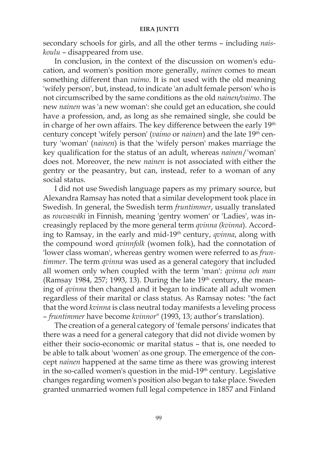secondary schools for girls, and all the other terms – including *naiskoulu* – disappeared from use.

In conclusion, in the context of the discussion on women's education, and women's position more generally, *nainen* comes to mean something different than *vaimo*. It is not used with the old meaning 'wifely person', but, instead, to indicate 'an adult female person' who is not circumscribed by the same conditions as the old *nainen/vaimo*. The new *nainen* was 'a new woman': she could get an education, she could have a profession, and, as long as she remained single, she could be in charge of her own affairs. The key difference between the early 19<sup>th</sup> century concept 'wifely person' (*vaimo* or *nainen*) and the late 19th century 'woman' (*nainen*) is that the 'wifely person' makes marriage the key qualification for the status of an adult, whereas *nainen*/'woman' does not. Moreover, the new *nainen* is not associated with either the gentry or the peasantry, but can, instead, refer to a woman of any social status.

I did not use Swedish language papers as my primary source, but Alexandra Ramsay has noted that a similar development took place in Swedish. In general, the Swedish term *fruntimmer*, usually translated as *rouvasväki* in Finnish, meaning 'gentry women' or 'Ladies', was increasingly replaced by the more general term *qvinna (kvinna*). According to Ramsay, in the early and mid-19th century, *qvinna*, along with the compound word *qvinnfolk* (women folk), had the connotation of 'lower class woman', whereas gentry women were referred to as *fruntimmer*. The term *qvinna* was used as a general category that included all women only when coupled with the term 'man': *qvinna och man* (Ramsay 1984, 257; 1993, 13). During the late  $19<sup>th</sup>$  century, the meaning of *qvinna* then changed and it began to indicate all adult women regardless of their marital or class status. As Ramsay notes: "the fact that the word *kvinna* is class neutral today manifests a leveling process – *fruntimmer* have become *kvinnor*" (1993, 13; author's translation).

The creation of a general category of 'female persons' indicates that there was a need for a general category that did not divide women by either their socio-economic or marital status – that is, one needed to be able to talk about 'women' as one group. The emergence of the concept *nainen* happened at the same time as there was growing interest in the so-called women's question in the mid-19<sup>th</sup> century. Legislative changes regarding women's position also began to take place. Sweden granted unmarried women full legal competence in 1857 and Finland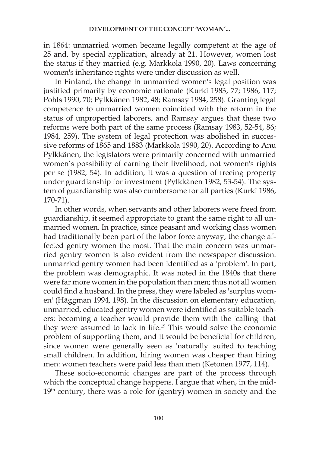in 1864: unmarried women became legally competent at the age of 25 and, by special application, already at 21. However, women lost the status if they married (e.g. Markkola 1990, 20). Laws concerning women's inheritance rights were under discussion as well.

In Finland, the change in unmarried women's legal position was justified primarily by economic rationale (Kurki 1983, 77; 1986, 117; Pohls 1990, 70; Pylkkänen 1982, 48; Ramsay 1984, 258). Granting legal competence to unmarried women coincided with the reform in the status of unpropertied laborers, and Ramsay argues that these two reforms were both part of the same process (Ramsay 1983, 52-54, 86; 1984, 259). The system of legal protection was abolished in successive reforms of 1865 and 1883 (Markkola 1990, 20). According to Anu Pylkkänen, the legislators were primarily concerned with unmarried women's possibility of earning their livelihood, not women's rights per se (1982, 54). In addition, it was a question of freeing property under guardianship for investment (Pylkkänen 1982, 53-54). The system of guardianship was also cumbersome for all parties (Kurki 1986, 170-71).

In other words, when servants and other laborers were freed from guardianship, it seemed appropriate to grant the same right to all unmarried women. In practice, since peasant and working class women had traditionally been part of the labor force anyway, the change affected gentry women the most. That the main concern was unmarried gentry women is also evident from the newspaper discussion: unmarried gentry women had been identified as a 'problem'. In part, the problem was demographic. It was noted in the 1840s that there were far more women in the population than men; thus not all women could find a husband. In the press, they were labeled as 'surplus women' (Häggman 1994, 198). In the discussion on elementary education, unmarried, educated gentry women were identified as suitable teachers: becoming a teacher would provide them with the 'calling' that they were assumed to lack in life.19 This would solve the economic problem of supporting them, and it would be beneficial for children, since women were generally seen as 'naturally' suited to teaching small children. In addition, hiring women was cheaper than hiring men: women teachers were paid less than men (Ketonen 1977, 114).

These socio-economic changes are part of the process through which the conceptual change happens. I argue that when, in the mid- $19<sup>th</sup>$  century, there was a role for (gentry) women in society and the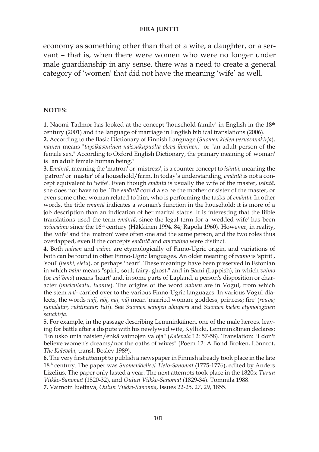economy as something other than that of a wife, a daughter, or a servant – that is, when there were women who were no longer under male guardianship in any sense, there was a need to create a general category of 'women' that did not have the meaning 'wife' as well.

#### **NOTES:**

**1.** Naomi Tadmor has looked at the concept 'household-family' in English in the 18<sup>th</sup> century (2001) and the language of marriage in English biblical translations (2006). **2.** According to the Basic Dictionary of Finnish Language (*Suomen kielen perussanakirja*), *nainen* means "*täysikasvuinen naissukupuolta oleva ihminen,*" or "an adult person of the female sex." According to Oxford English Dictionary, the primary meaning of 'woman' is "an adult female human being."

**3.** *Emäntä*, meaning the 'matron' or 'mistress', is a counter concept to *isäntä*, meaning the 'patron' or 'master' of a household/farm. In today's understanding, *emäntä* is not a concept equivalent to 'wife'. Even though *emäntä* is usually the wife of the master, *isäntä*, she does not have to be. The *emäntä* could also be the mother or sister of the master, or even some other woman related to him, who is performing the tasks of *emäntä*. In other words, the title *emäntä* indicates a woman's function in the household; it is more of a job description than an indication of her marital status. It is interesting that the Bible translations used the term *emäntä*, since the legal term for a 'wedded wife' has been *aviovaimo* since the 16<sup>th</sup> century (Häkkinen 1994, 84; Rapola 1960). However, in reality, the 'wife' and the 'matron' were often one and the same person, and the two roles thus overlapped, even if the concepts *emäntä* and *aviovaimo* were distinct.

**4.** Both *nainen* and *vaimo* are etymologically of Finno-Ugric origin, and variations of both can be found in other Finno-Ugric languages. An older meaning of *vaimo* is 'spirit', 'soul' (*henki, sielu*), or perhaps 'heart'. These meanings have been preserved in Estonian in which *vaim* means "spirit, soul; fairy, ghost," and in Sámi (Lappish), in which *vaimo*  (or *vai'bmo*) means 'heart' and, in some parts of Lapland, a person's disposition or character (*mielenlaatu, luonne*). The origins of the word *nainen* are in Vogul, from which the stem *nai-* carried over to the various Finno-Ugric languages. In various Vogul dialects, the words *näjī, nöj, naj, nāj* mean 'married woman; goddess, princess; fire' (*rouva; jumalatar, ruhtinatar; tuli*). See *Suomen sanojen alkuperä* and *Suomen kielen etymologinen sanakirja*.

**5.** For example, in the passage describing Lemminkäinen, one of the male heroes, leaving for battle after a dispute with his newlywed wife, Kyllikki, Lemminkäinen declares: "En usko unia naisten/enkä vaimojen valoja" (*Kalevala* 12: 57-58). Translation: "I don't believe women's dreams/nor the oaths of wives" (Poem 12: A Bond Broken, Lönnrot, *The Kalevala*, transl. Bosley 1989).

**6.** The very first attempt to publish a newspaper in Finnish already took place in the late 18th century. The paper was *Suomenkieliset Tieto-Sanomat* (1775-1776), edited by Anders Lizelius. The paper only lasted a year. The next attempts took place in the 1820s: *Turun Viikko-Sanomat* (1820-32), and *Oulun Viikko-Sanomat* (1829-34). Tommila 1988.

**7.** Vaimoin luettava, *Oulun Viikko-Sanomia*, Issues 22-25, 27, 29, 1855.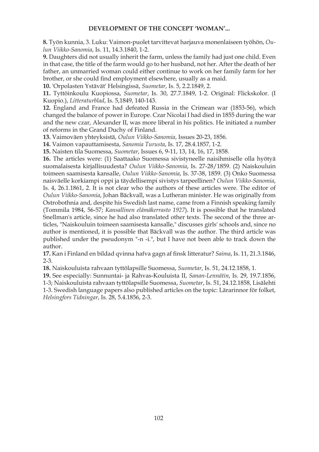**8.** Työn kunnia, 3. Luku: Vaimon-puolet tarvittevat harjauva monenlaiseen työhön, *Oulun Viikko-Sanomia*, Is. 11, 14.3.1840, 1-2.

**9.** Daughters did not usually inherit the farm, unless the family had just one child. Even in that case, the title of the farm would go to her husband, not her. After the death of her father, an unmarried woman could either continue to work on her family farm for her brother, or she could find employment elsewhere, usually as a maid.

**10.** 'Orpolasten Ystävät' Helsingissä, *Suometar*, Is. 5, 2.2.1849, 2.

**11.** Tyttöinkoulu Kuopiossa, *Suometar*, Is. 30, 27.7.1849, 1-2. Original: Flickskolor. (I Kuopio.), *Litteraturblad*, Is. 5,1849, 140-143.

**12.** England and France had defeated Russia in the Crimean war (1853-56), which changed the balance of power in Europe. Czar Nicolai I had died in 1855 during the war and the new czar, Alexander II, was more liberal in his politics. He initiated a number of reforms in the Grand Duchy of Finland.

**13.** Vaimoväen yhteyksistä, *Oulun Viikko-Sanomia*, Issues 20-23, 1856.

**14.** Vaimon vapauttamisesta, *Sanomia Turusta*, Is. 17, 28.4.1857, 1-2.

**15.** Naisten tila Suomessa, *Suometar*, Issues 6, 9-11, 13, 14, 16, 17, 1858.

**16.** The articles were: (1) Saattaako Suomessa sivistyneelle naisihmiselle olla hyötyä suomalaisesta kirjallisuudesta? *Oulun Viikko-Sanomia*, Is. 27-28/1859. (2) Naiskouluin toimeen saamisesta kansalle, *Oulun Viikko-Sanomia*, Is. 37-38, 1859. (3) Onko Suomessa naisväelle korkiampi oppi ja täydellisempi sivistys tarpeellinen? *Oulun Viikko-Sanomia*, Is. 4, 26.1.1861, 2. It is not clear who the authors of these articles were. The editor of *Oulun Viikko-Sanomia*, Johan Bäckvall, was a Lutheran minister. He was originally from Ostrobothnia and, despite his Swedish last name, came from a Finnish speaking family (Tommila 1984, 56-57; *Kansallinen elämäkerrasto 1927*). It is possible that he translated Snellman's article, since he had also translated other texts. The second of the three articles, "Naiskouluin toimeen saamisesta kansalle," discusses girls' schools and, since no author is mentioned, it is possible that Bäckvall was the author. The third article was published under the pseudonym "-n -i.", but I have not been able to track down the author.

**17.** Kan i Finland en bildad qvinna hafva gagn af finsk litteratur? *Saima*, Is. 11, 21.3.1846, 2-3.

**18.** Naiskouluista rahvaan tyttölapsille Suomessa, *Suometar*, Is. 51, 24.12.1858, 1.

**19.** See especially: Sunnuntai- ja Rahvas-Kouluista II, *Sanan-Lennätin*, Is. 29, 19.7.1856,

1-3; Naiskouluista rahvaan tyttölapsille Suomessa, *Suometar*, Is. 51, 24.12.1858, Lisälehti 1-3. Swedish language papers also published articles on the topic: Lärarinnor för folket, *Helsingfors Tidningar*, Is. 28, 5.4.1856, 2-3.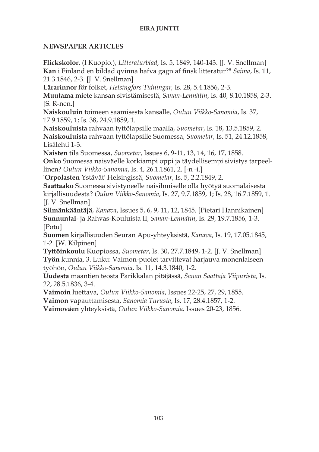# **NEWSPAPER ARTICLES**

**Flickskolor**. (I Kuopio.), *Litteraturblad*, Is. 5, 1849, 140-143. [J. V. Snellman] **Kan** i Finland en bildad qvinna hafva gagn af finsk litteratur?" *Saima*, Is. 11, 21.3.1846, 2-3. [J. V. Snellman] **Lärarinnor** för folket, *Helsingfors Tidningar,* Is. 28, 5.4.1856, 2-3. **Muutama** miete kansan sivistämisestä, *Sanan-Lennätin*, Is. 40, 8.10.1858, 2-3. [S. R-nen.] **Naiskouluin** toimeen saamisesta kansalle, *Oulun Viikko-Sanomia*, Is. 37, 17.9.1859, 1; Is. 38, 24.9.1859, 1. **Naiskouluista** rahvaan tyttölapsille maalla, *Suometar*, Is. 18, 13.5.1859, 2. **Naiskouluista** rahvaan tyttölapsille Suomessa, *Suometar*, Is. 51, 24.12.1858, Lisälehti 1-3. **Naisten** tila Suomessa, *Suometar*, Issues 6, 9-11, 13, 14, 16, 17, 1858. **Onko** Suomessa naisväelle korkiampi oppi ja täydellisempi sivistys tarpeellinen? *Oulun Viikko-Sanomia*, Is. 4, 26.1.1861, 2. [-n -i.] **'Orpolasten** Ystävät' Helsingissä, *Suometar*, Is. 5, 2.2.1849, 2. **Saattaako** Suomessa sivistyneelle naisihmiselle olla hyötyä suomalaisesta kirjallisuudesta? *Oulun Viikko-Sanomia*, Is. 27, 9.7.1859, 1; Is. 28, 16.7.1859, 1. [J. V. Snellman] **Silmänkääntäjä**, *Kanava*, Issues 5, 6, 9, 11, 12, 1845. [Pietari Hannikainen] **Sunnuntai**- ja Rahvas-Kouluista II, *Sanan-Lennätin*, Is. 29, 19.7.1856, 1-3. [Potu] **Suomen** kirjallisuuden Seuran Apu-yhteyksistä, *Kanava*, Is. 19, 17.05.1845, 1-2. [W. Kilpinen] **Tyttöinkoulu** Kuopiossa, *Suometar*, Is. 30, 27.7.1849, 1-2. [J. V. Snellman] **Työn** kunnia, 3. Luku: Vaimon-puolet tarvittevat harjauva monenlaiseen työhön, *Oulun Viikko-Sanomia*, Is. 11, 14.3.1840, 1-2.

**Uudesta** maantien teosta Parikkalan pitäjässä, *Sanan Saattaja Viipurista*, Is. 22, 28.5.1836, 3-4.

**Vaimoin** luettava, *Oulun Viikko-Sanomia*, Issues 22-25, 27, 29, 1855.

**Vaimon** vapauttamisesta, *Sanomia Turusta*, Is. 17, 28.4.1857, 1-2.

**Vaimoväen** yhteyksistä, *Oulun Viikko-Sanomia,* Issues 20-23, 1856.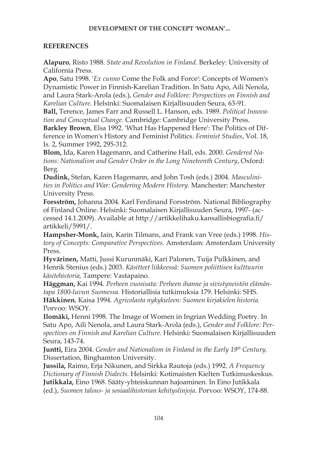# **REFERENCES**

**Alapuro**, Risto 1988. *State and Revolution in Finland.* Berkeley: University of California Press.

**Apo**, Satu 1998. '*Ex cunno* Come the Folk and Force': Concepts of Women's Dynamistic Power in Finnish-Karelian Tradition. In Satu Apo, Aili Nenola, and Laura Stark-Arola (eds.), *Gender and Folklore: Perspectives on Finnish and Karelian Culture.* Helsinki: Suomalaisen Kirjallisuuden Seura, 63-91.

**Ball,** Terence, James Farr and Russell L. Hanson, eds. 1989. *Political Innovation and Conceptual Change.* Cambridge: Cambridge University Press.

**Barkley Brown**, Elsa 1992. 'What Has Happened Here': The Politics of Difference in Women's History and Feminist Politics. *Feminist Studies*, Vol. 18, Is. 2, Summer 1992, 295-312.

**Blom,** Ida, Karen Hagemann, and Catherine Hall, eds. 2000. *Gendered Nations: Nationalism and Gender Order in the Long Nineteenth Century*, Oxford: Berg.

**Dudink,** Stefan, Karen Hagemann, and John Tosh (eds.) 2004. *Masculinities in Politics and War: Gendering Modern History.* Manchester: Manchester University Press.

**Forsström,** Johanna 2004. Karl Ferdinand Forsström. National Bibliography of Finland Online. Helsinki: Suomalaisen Kirjallisuuden Seura, 1997- (accessed 14.1.2009). Available at http://artikkelihaku.kansallisbiografia.fi/ artikkeli/5991/.

**Hampsher-Monk,** Iain, Karin Tilmans, and Frank van Vree (eds.) 1998. *History of Concepts: Comparative Perspectives.* Amsterdam: Amsterdam University Press.

**Hyvärinen,** Matti, Jussi Kurunmäki, Kari Palonen, Tuija Pulkkinen, and Henrik Stenius (eds.) 2003. *Käsitteet liikkeessä: Suomen poliittisen kulttuurin käsitehistoria,* Tampere: Vastapaino.

**Häggman,** Kai 1994. *Perheen vuosisata: Perheen ihanne ja sivistyneistön elämäntapa 1800-luvun Suomessa.* Historiallisia tutkimuksia 179. Helsinki: SHS. **Häkkinen**, Kaisa 1994. *Agricolasta nykykieleen: Suomen kirjakielen historia.*  Porvoo: WSOY.

**Ilomäki,** Henni 1998. The Image of Women in Ingrian Wedding Poetry. In Satu Apo, Aili Nenola, and Laura Stark-Arola (eds.), *Gender and Folklore: Perspectives on Finnish and Karelian Culture.* Helsinki: Suomalaisen Kirjallisuuden Seura, 143-74.

**Juntti,** Eira 2004. *Gender and Nationalism in Finland in the Early 19th Century.* Dissertation, Binghamton University.

**Jussila,** Raimo, Erja Nikunen, and Sirkka Rautoja (eds.) 1992. *A Frequency Dictionary of Finnish Dialects.* Helsinki: Kotimaisten Kielten Tutkimuskeskus. **Jutikkala,** Eino 1968. Sääty-yhteiskunnan hajoaminen. In Eino Jutikkala (ed.), *Suomen talous- ja sosiaalihistorian kehityslinjoja.* Porvoo: WSOY, 174-88.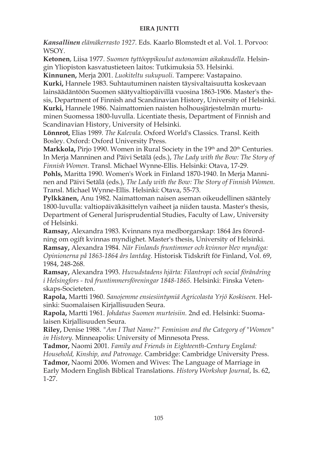*Kansallinen elämäkerrasto 1927.* Eds. Kaarlo Blomstedt et al. Vol. 1. Porvoo: WSOY.

**Ketonen**, Liisa 1977. *Suomen tyttöoppikoulut autonomian aikakaudella.* Helsingin Yliopiston kasvatustieteen laitos: Tutkimuksia 53. Helsinki.

**Kinnunen,** Merja 2001. *Luokiteltu sukupuoli.* Tampere: Vastapaino.

**Kurki,** Hannele 1983. Suhtautuminen naisten täysivaltaisuutta koskevaan lainsäädäntöön Suomen säätyvaltiopäivillä vuosina 1863-1906. Master's the-

sis, Department of Finnish and Scandinavian History, University of Helsinki.

**Kurki,** Hannele 1986. Naimattomien naisten holhousjärjestelmän murtuminen Suomessa 1800-luvulla. Licentiate thesis, Department of Finnish and Scandinavian History, University of Helsinki.

**Lönnrot,** Elias 1989. *The Kalevala.* Oxford World's Classics. Transl. Keith Bosley. Oxford: Oxford University Press.

Markkola, Pirjo 1990. Women in Rural Society in the 19<sup>th</sup> and 20<sup>th</sup> Centuries. In Merja Manninen and Päivi Setälä (eds.), *The Lady with the Bow: The Story of Finnish Women.* Transl. Michael Wynne-Ellis. Helsinki: Otava, 17-29.

**Pohls,** Maritta 1990. Women's Work in Finland 1870-1940. In Merja Manninen and Päivi Setälä (eds.), *The Lady with the Bow: The Story of Finnish Women.*  Transl. Michael Wynne-Ellis. Helsinki: Otava, 55-73.

**Pylkkänen,** Anu 1982. Naimattoman naisen aseman oikeudellinen sääntely 1800-luvulla: valtiopäiväkäsittelyn vaiheet ja niiden tausta. Master's thesis, Department of General Jurisprudential Studies, Faculty of Law, University of Helsinki.

**Ramsay,** Alexandra 1983. Kvinnans nya medborgarskap: 1864 års förordning om ogift kvinnas myndighet. Master's thesis, University of Helsinki. **Ramsay,** Alexandra 1984. *När Finlands fruntimmer och kvinnor blev myndiga: Opinionerna på 1863-1864 års lantdag.* Historisk Tidskrift för Finland, Vol. 69, 1984, 248-268.

**Ramsay,** Alexandra 1993. *Huvudstadens hjärta: Filantropi och social förändring i Helsingfors - två fruntimmersföreningar 1848-1865.* Helsinki: Finska Vetenskaps-Societeten.

**Rapola,** Martti 1960. *Sanojemme ensiesiintymiä Agricolasta Yrjö Koskiseen.* Helsinki: Suomalaisen Kirjallisuuden Seura.

**Rapola,** Martti 1961. *Johdatus Suomen murteisiin.* 2nd ed. Helsinki: Suomalaisen Kirjallisuuden Seura.

**Riley,** Denise 1988. *"Am I That Name?" Feminism and the Category of "Women" in History.* Minneapolis: University of Minnesota Press.

**Tadmor,** Naomi 2001. *Family and Friends in Eighteenth-Century England: Household, Kinship, and Patronage.* Cambridge: Cambridge University Press.

**Tadmor,** Naomi 2006. Women and Wives: The Language of Marriage in Early Modern English Biblical Translations. *History Workshop Journal*, Is. 62, 1-27.